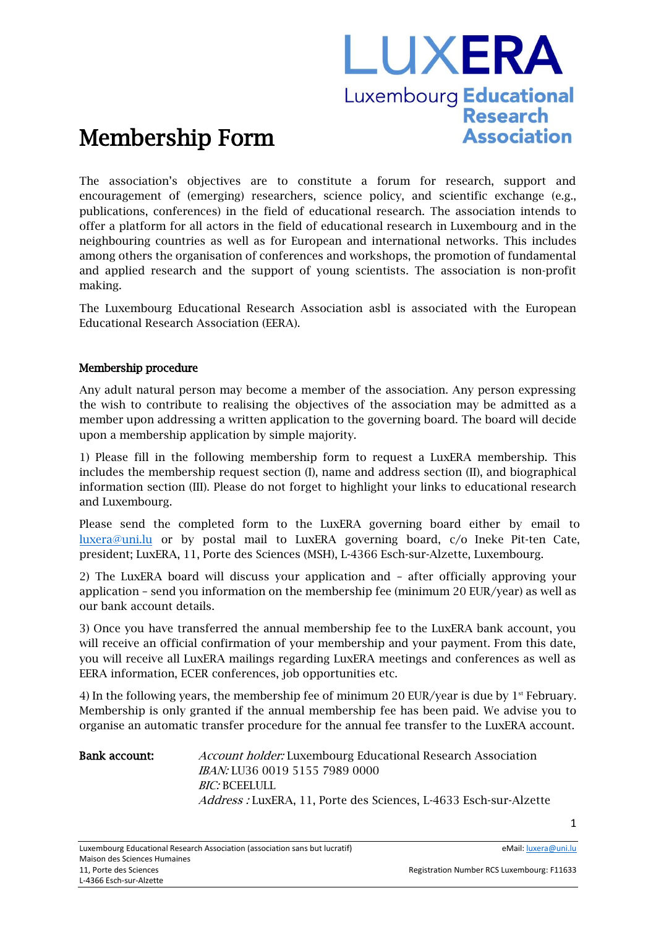# LUXERA Luxembourg Educational **Research Association**

# Membership Form

The association's objectives are to constitute a forum for research, support and encouragement of (emerging) researchers, science policy, and scientific exchange (e.g., publications, conferences) in the field of educational research. The association intends to offer a platform for all actors in the field of educational research in Luxembourg and in the neighbouring countries as well as for European and international networks. This includes among others the organisation of conferences and workshops, the promotion of fundamental and applied research and the support of young scientists. The association is non-profit making.

The Luxembourg Educational Research Association asbl is associated with the European Educational Research Association (EERA).

#### Membership procedure

Any adult natural person may become a member of the association. Any person expressing the wish to contribute to realising the objectives of the association may be admitted as a member upon addressing a written application to the governing board. The board will decide upon a membership application by simple majority.

1) Please fill in the following membership form to request a LuxERA membership. This includes the membership request section (I), name and address section (II), and biographical information section (III). Please do not forget to highlight your links to educational research and Luxembourg.

Please send the completed form to the LuxERA governing board either by email to luxera@uni.lu or by postal mail to LuxERA governing board, c/o Ineke Pit-ten Cate, president; LuxERA, 11, Porte des Sciences (MSH), L-4366 Esch-sur-Alzette, Luxembourg.

2) The LuxERA board will discuss your application and – after officially approving your application – send you information on the membership fee (minimum 20 EUR/year) as well as our bank account details.

3) Once you have transferred the annual membership fee to the LuxERA bank account, you will receive an official confirmation of your membership and your payment. From this date, you will receive all LuxERA mailings regarding LuxERA meetings and conferences as well as EERA information, ECER conferences, job opportunities etc.

4) In the following years, the membership fee of minimum 20 EUR/year is due by  $1<sup>st</sup>$  February. Membership is only granted if the annual membership fee has been paid. We advise you to organise an automatic transfer procedure for the annual fee transfer to the LuxERA account.

Bank account: Account holder: Luxembourg Educational Research Association IBAN: LU36 0019 5155 7989 0000 BIC: BCEELULL Address : LuxERA, 11, Porte des Sciences, L-4633 Esch-sur-Alzette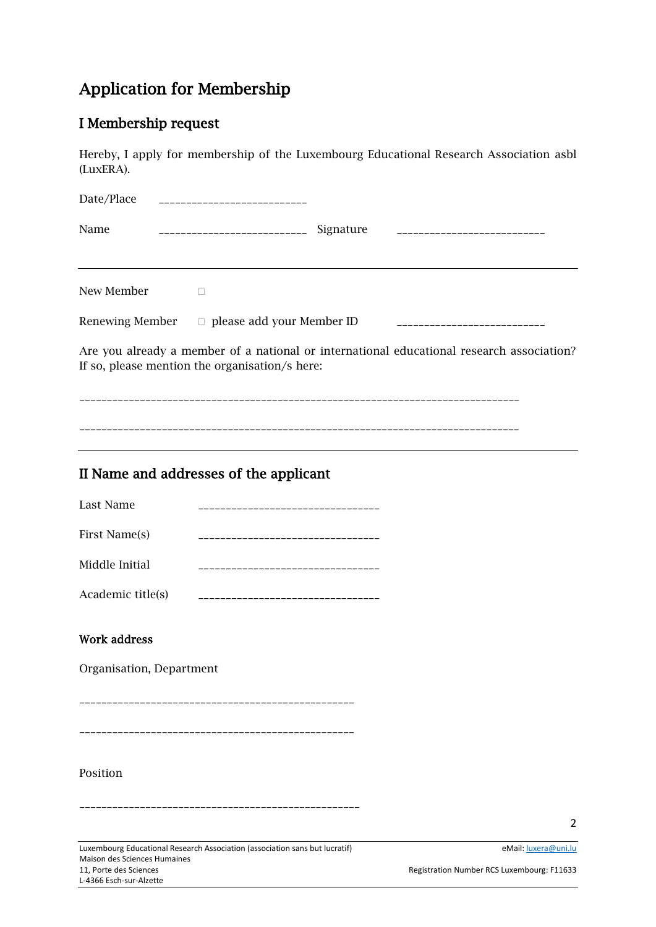## Application for Membership

### I Membership request

Hereby, I apply for membership of the Luxembourg Educational Research Association asbl (LuxERA).

| Date/Place | __________________________                                                                                                                  |
|------------|---------------------------------------------------------------------------------------------------------------------------------------------|
| Name       | Signature ____________________________<br>_______________________________                                                                   |
|            |                                                                                                                                             |
| New Member |                                                                                                                                             |
|            | Renewing Member $\Box$ please add your Member ID<br>______________________________                                                          |
|            | Are you already a member of a national or international educational research association?<br>If so, please mention the organisation/s here: |
|            |                                                                                                                                             |
|            |                                                                                                                                             |
|            |                                                                                                                                             |

## II Name and addresses of the applicant

| Last Name      |  |
|----------------|--|
| First Name(s)  |  |
| Middle Initial |  |

Academic title(s) \_\_\_\_\_\_\_\_\_\_\_\_\_\_\_\_\_\_\_\_\_\_\_\_\_\_\_\_\_\_\_\_\_

#### Work address

Organisation, Department

\_\_\_\_\_\_\_\_\_\_\_\_\_\_\_\_\_\_\_\_\_\_\_\_\_\_\_\_\_\_\_\_\_\_\_\_\_\_\_\_\_\_\_\_\_\_\_\_\_\_

\_\_\_\_\_\_\_\_\_\_\_\_\_\_\_\_\_\_\_\_\_\_\_\_\_\_\_\_\_\_\_\_\_\_\_\_\_\_\_\_\_\_\_\_\_\_\_\_\_\_

#### Position

\_\_\_\_\_\_\_\_\_\_\_\_\_\_\_\_\_\_\_\_\_\_\_\_\_\_\_\_\_\_\_\_\_\_\_\_\_\_\_\_\_\_\_\_\_\_\_\_\_\_\_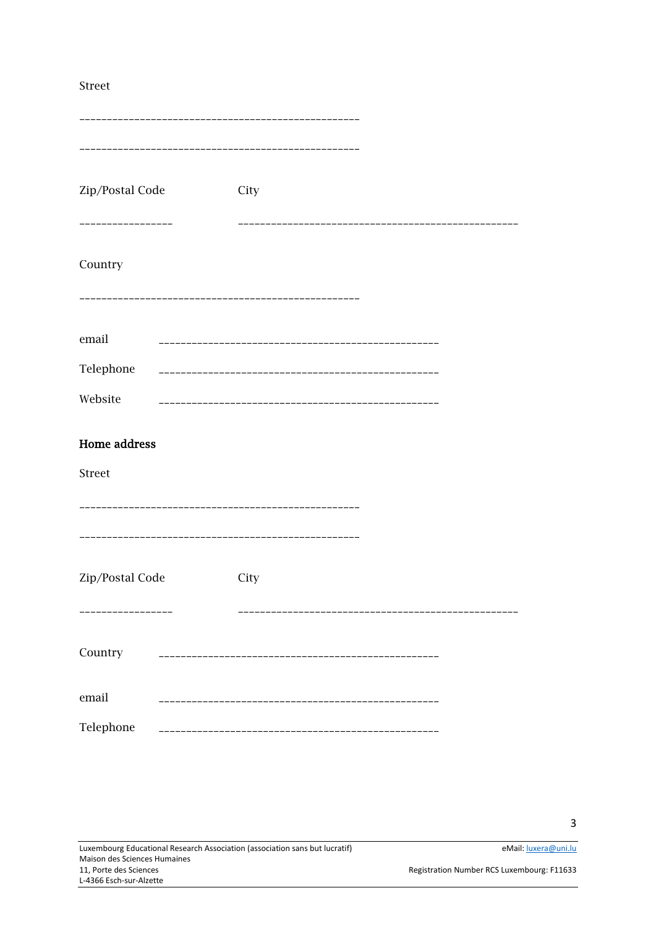#### Street

| Zip/Postal Code                     | City               |  |
|-------------------------------------|--------------------|--|
| -------------<br>Country            |                    |  |
| email                               |                    |  |
| Telephone<br>Website                | __________________ |  |
| <b>Home address</b>                 |                    |  |
| Street                              |                    |  |
|                                     |                    |  |
| Zip/Postal Code<br>---------------- | City               |  |
| Country                             |                    |  |
| email                               |                    |  |
| Telephone                           | -----------------  |  |

 $\overline{3}$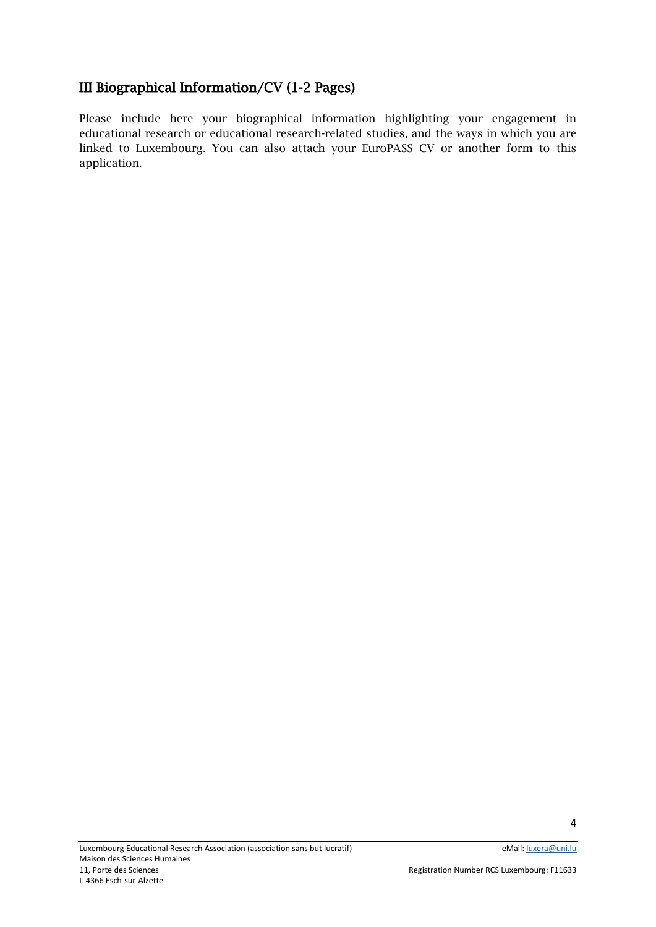### III Biographical Information/CV (1-2 Pages)

Please include here your biographical information highlighting your engagement in educational research or educational research-related studies, and the ways in which you are linked to Luxembourg. You can also attach your EuroPASS CV or another form to this application.

4